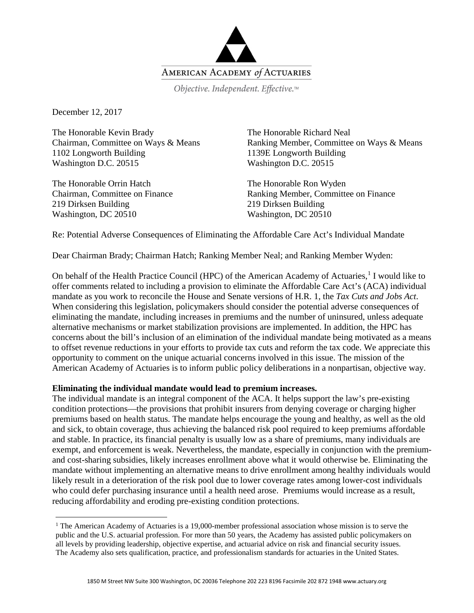

Objective. Independent. Effective.™

December 12, 2017

The Honorable Kevin Brady Chairman, Committee on Ways & Means 1102 Longworth Building Washington D.C. 20515

The Honorable Orrin Hatch Chairman, Committee on Finance 219 Dirksen Building Washington, DC 20510

The Honorable Richard Neal Ranking Member, Committee on Ways & Means 1139E Longworth Building Washington D.C. 20515

The Honorable Ron Wyden Ranking Member, Committee on Finance 219 Dirksen Building Washington, DC 20510

Re: Potential Adverse Consequences of Eliminating the Affordable Care Act's Individual Mandate

Dear Chairman Brady; Chairman Hatch; Ranking Member Neal; and Ranking Member Wyden:

On behalf of the Health Practice Council (HPC) of the American Academy of Actuaries,<sup>[1](#page-0-0)</sup> I would like to offer comments related to including a provision to eliminate the Affordable Care Act's (ACA) individual mandate as you work to reconcile the House and Senate versions of H.R. 1, the *Tax Cuts and Jobs Act*. When considering this legislation, policymakers should consider the potential adverse consequences of eliminating the mandate, including increases in premiums and the number of uninsured, unless adequate alternative mechanisms or market stabilization provisions are implemented. In addition, the HPC has concerns about the bill's inclusion of an elimination of the individual mandate being motivated as a means to offset revenue reductions in your efforts to provide tax cuts and reform the tax code. We appreciate this opportunity to comment on the unique actuarial concerns involved in this issue. The mission of the American Academy of Actuaries is to inform public policy deliberations in a nonpartisan, objective way.

## **Eliminating the individual mandate would lead to premium increases.**

The individual mandate is an integral component of the ACA. It helps support the law's pre-existing condition protections—the provisions that prohibit insurers from denying coverage or charging higher premiums based on health status. The mandate helps encourage the young and healthy, as well as the old and sick, to obtain coverage, thus achieving the balanced risk pool required to keep premiums affordable and stable. In practice, its financial penalty is usually low as a share of premiums, many individuals are exempt, and enforcement is weak. Nevertheless, the mandate, especially in conjunction with the premiumand cost-sharing subsidies, likely increases enrollment above what it would otherwise be. Eliminating the mandate without implementing an alternative means to drive enrollment among healthy individuals would likely result in a deterioration of the risk pool due to lower coverage rates among lower-cost individuals who could defer purchasing insurance until a health need arose. Premiums would increase as a result, reducing affordability and eroding pre-existing condition protections.

<span id="page-0-0"></span><sup>&</sup>lt;sup>1</sup> The American Academy of Actuaries is a 19,000-member professional association whose mission is to serve the public and the U.S. actuarial profession. For more than 50 years, the Academy has assisted public policymakers on all levels by providing leadership, objective expertise, and actuarial advice on risk and financial security issues. The Academy also sets qualification, practice, and professionalism standards for actuaries in the United States.